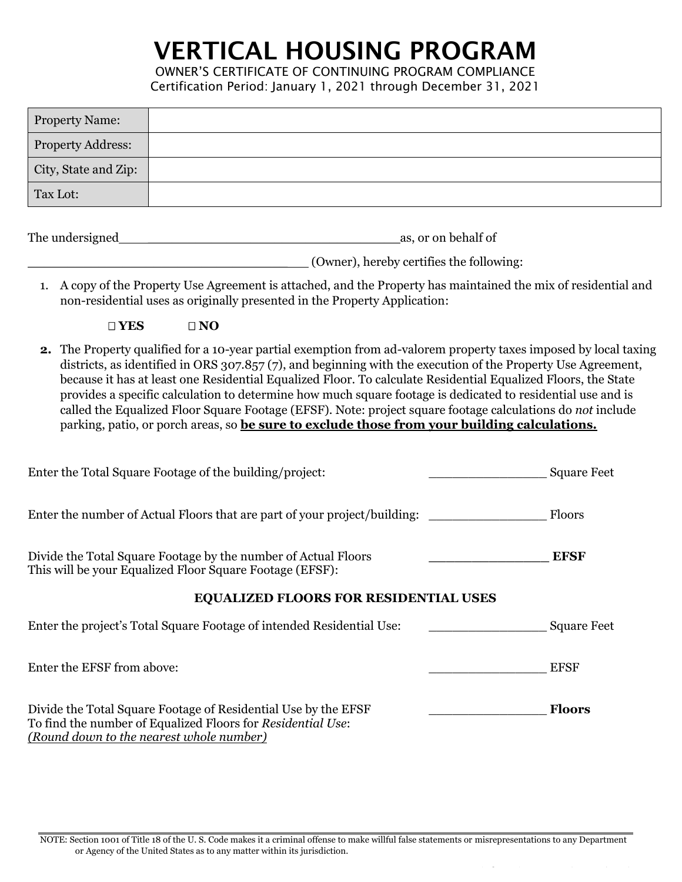## VERTICAL HOUSING PROGRAM

OWNER'S CERTIFICATE OF CONTINUING PROGRAM COMPLIANCE Certification Period: January 1, 2021 through December 31, 2021

| <b>Property Name:</b>    |  |
|--------------------------|--|
| <b>Property Address:</b> |  |
| City, State and Zip:     |  |
| Tax Lot:                 |  |
|                          |  |

| The undersigned | as, or on behalf of |
|-----------------|---------------------|
|                 |                     |

\_\_\_\_\_\_\_\_\_\_\_\_\_\_\_\_\_\_\_\_\_\_\_\_\_\_\_\_\_\_\_\_\_ (Owner), hereby certifies the following:

1. A copy of the Property Use Agreement is attached, and the Property has maintained the mix of residential and non-residential uses as originally presented in the Property Application:

- **□ YES □ NO**
- **2.** The Property qualified for a 10-year partial exemption from ad-valorem property taxes imposed by local taxing districts, as identified in ORS 307.857 (7), and beginning with the execution of the Property Use Agreement, because it has at least one Residential Equalized Floor. To calculate Residential Equalized Floors, the State provides a specific calculation to determine how much square footage is dedicated to residential use and is called the Equalized Floor Square Footage (EFSF). Note: project square footage calculations do *not* include parking, patio, or porch areas, so **be sure to exclude those from your building calculations.**

| Enter the Total Square Footage of the building/project:                                                                                                                   |               | <b>Square Feet</b> |
|---------------------------------------------------------------------------------------------------------------------------------------------------------------------------|---------------|--------------------|
| Enter the number of Actual Floors that are part of your project/building:                                                                                                 | Floors        |                    |
| Divide the Total Square Footage by the number of Actual Floors<br>This will be your Equalized Floor Square Footage (EFSF):                                                | <b>EFSF</b>   |                    |
| <b>EQUALIZED FLOORS FOR RESIDENTIAL USES</b>                                                                                                                              |               |                    |
| Enter the project's Total Square Footage of intended Residential Use:                                                                                                     |               | <b>Square Feet</b> |
| Enter the EFSF from above:                                                                                                                                                | <b>EFSF</b>   |                    |
| Divide the Total Square Footage of Residential Use by the EFSF<br>To find the number of Equalized Floors for Residential Use:<br>(Round down to the nearest whole number) | <b>Floors</b> |                    |

NOTE: Section 1001 of Title 18 of the U. S. Code makes it a criminal offense to make willful false statements or misrepresentations to any Department or Agency of the United States as to any matter within its jurisdiction.